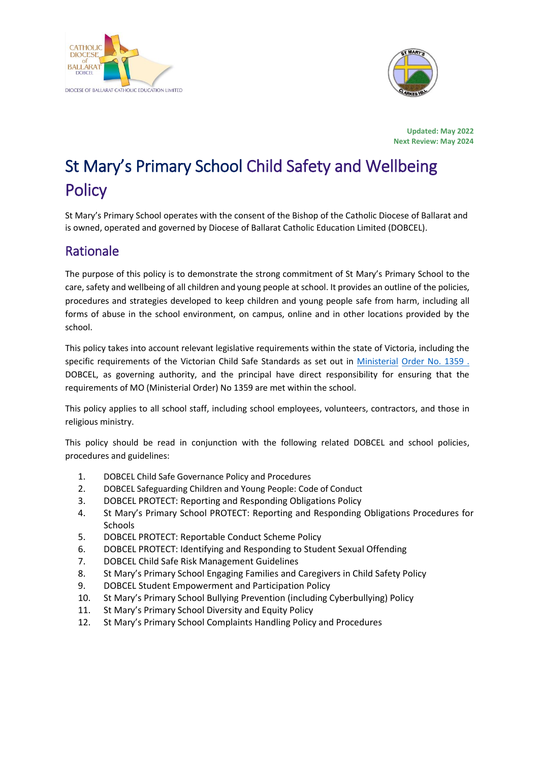



**Updated: May 2022 Next Review: May 2024**

# St Mary's Primary School Child Safety and Wellbeing **Policy**

St Mary's Primary School operates with the consent of the Bishop of the Catholic Diocese of Ballarat and is owned, operated and governed by Diocese of Ballarat Catholic Education Limited (DOBCEL).

### Rationale

The purpose of this policy is to demonstrate the strong commitment of St Mary's Primary School to the care, safety and wellbeing of all children and young people at school. It provides an outline of the policies, procedures and strategies developed to keep children and young people safe from harm, including all forms of abuse in the school environment, on campus, online and in other locations provided by the school.

This policy takes into account relevant legislative requirements within the state of Victoria, including the specific requirements of the Victorian Child Safe Standards as set out in [Ministerial](https://www.education.vic.gov.au/Documents/about/programs/health/protect/Ministerial_Order.pdf) [Order No. 1359 .](https://www.vit.vic.edu.au/news/news/2018/protecting-children-mandatory-reporting-elearning-modules) DOBCEL, as governing authority, and the principal have direct responsibility for ensuring that the requirements of MO (Ministerial Order) No 1359 are met within the school.

This policy applies to all school staff, including school employees, volunteers, contractors, and those in religious ministry.

This policy should be read in conjunction with the following related DOBCEL and school policies, procedures and guidelines:

- 1. DOBCEL Child Safe Governance Policy and Procedures
- 2. DOBCEL Safeguarding Children and Young People: Code of Conduct
- 3. DOBCEL PROTECT: Reporting and Responding Obligations Policy
- 4. St Mary's Primary School PROTECT: Reporting and Responding Obligations Procedures for **Schools**
- 5. DOBCEL PROTECT: Reportable Conduct Scheme Policy
- 6. DOBCEL PROTECT: Identifying and Responding to Student Sexual Offending
- 7. DOBCEL Child Safe Risk Management Guidelines
- 8. St Mary's Primary School Engaging Families and Caregivers in Child Safety Policy
- 9. DOBCEL Student Empowerment and Participation Policy
- 10. St Mary's Primary School Bullying Prevention (including Cyberbullying) Policy
- 11. St Mary's Primary School Diversity and Equity Policy
- 12. St Mary's Primary School Complaints Handling Policy and Procedures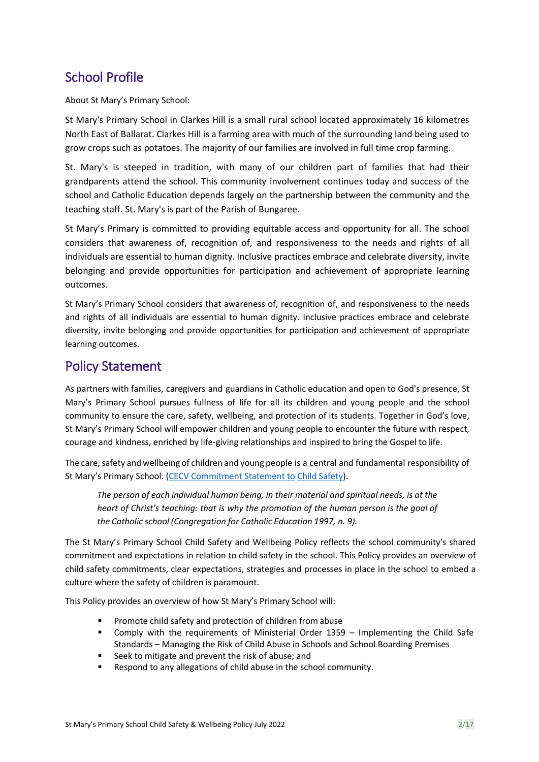## School Profile

About St Mary's Primary School:

St Mary's Primary School in Clarkes Hill is a small rural school located approximately 16 kilometres North East of Ballarat. Clarkes Hill is a farming area with much of the surrounding land being used to grow crops such as potatoes. The majority of our families are involved in full time crop farming.

St. Mary's is steeped in tradition, with many of our children part of families that had their grandparents attend the school. This community involvement continues today and success of the school and Catholic Education depends largely on the partnership between the community and the teaching staff. St. Mary's is part of the Parish of Bungaree.

St Mary's Primary is committed to providing equitable access and opportunity for all. The school considers that awareness of, recognition of, and responsiveness to the needs and rights of all individuals are essential to human dignity. Inclusive practices embrace and celebrate diversity, invite belonging and provide opportunities for participation and achievement of appropriate learning outcomes.

St Mary's Primary School considers that awareness of, recognition of, and responsiveness to the needs and rights of all individuals are essential to human dignity. Inclusive practices embrace and celebrate diversity, invite belonging and provide opportunities for participation and achievement of appropriate learning outcomes.

#### Policy Statement

As partners with families, caregivers and guardians in Catholic education and open to God's presence, St Mary's Primary School pursues fullness of life for all its children and young people and the school community to ensure the care, safety, wellbeing, and protection of its students. Together in God's love, St Mary's Primary School will empower children and young people to encounter the future with respect, courage and kindness, enriched by life-giving relationships and inspired to bring the Gospel to life.

The care, safety and wellbeing of children and young people is a central and fundamental responsibility of St Mary's Primary School. [\(CECV Commitment Statement to](https://cevn.cecv.catholic.edu.au/Melb/Document-File/Child-Safety/About/Commitment-Statement-A4.aspx) Child [Safety\)](https://www.education.vic.gov.au/Documents/about/programs/health/protect/PROTECT_Responding_TemplateSchools.pdf?id=8589940582).

*The person of each individual human being, in their material and spiritual needs, is at the heart of Christ's teaching: that is why the promotion of the human person is the goal of the Catholic school (Congregation for Catholic Education 1997, n. 9).*

The St Mary's Primary School Child Safety and Wellbeing Policy reflects the school community's shared commitment and expectations in relation to child safety in the school. This Policy provides an overview of child safety commitments, clear expectations, strategies and processes in place in the school to embed a culture where the safety of children is paramount.

This Policy provides an overview of how St Mary's Primary School will:

- Promote child safety and protection of children from abuse
- Comply with the requirements of Ministerial Order  $1359 -$  Implementing the Child Safe Standards – Managing the Risk of Child Abuse in Schools and School Boarding Premises
- Seek to mitigate and prevent the risk of abuse; and
- Respond to any allegations of child abuse in the school community.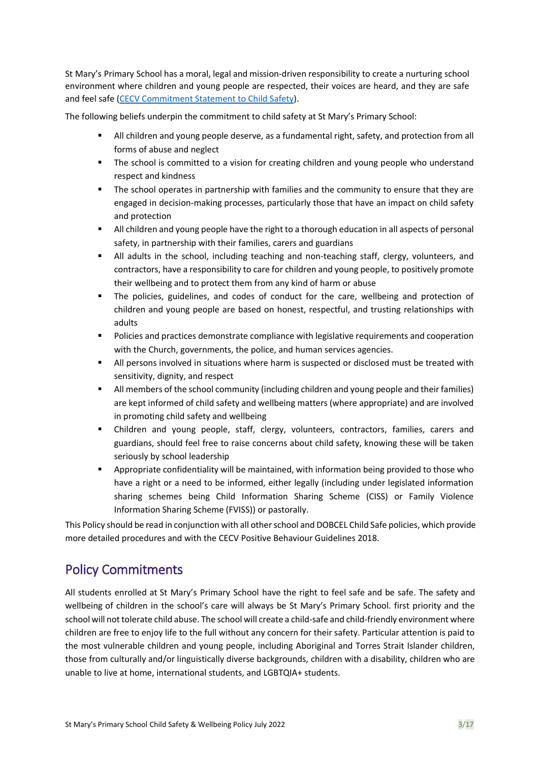St Mary's Primary School has a moral, legal and mission-driven responsibility to create a nurturing school environment where children and young people are respected, their voices are heard, and they are safe and feel safe [\(CECV Commitment Statement to Child](https://www.cecv.catholic.edu.au/getmedia/b5d43278-51b9-4704-b45a-f14e50546a70/Commitment-Statement-A4.aspx) Safety).

The following beliefs underpin the commitment to child safety at St Mary's Primary School:

- All children and young people deserve, as a fundamental right, safety, and protection from all forms of abuse and neglect
- The school is committed to a vision for creating children and young people who understand respect and kindness
- The school operates in partnership with families and the community to ensure that they are engaged in decision-making processes, particularly those that have an impact on child safety and protection
- All children and young people have the right to a thorough education in all aspects of personal safety, in partnership with their families, carers and guardians
- All adults in the school, including teaching and non-teaching staff, clergy, volunteers, and contractors, have a responsibility to care for children and young people, to positively promote their wellbeing and to protect them from any kind of harm or abuse
- The policies, guidelines, and codes of conduct for the care, wellbeing and protection of children and young people are based on honest, respectful, and trusting relationships with adults
- Policies and practices demonstrate compliance with legislative requirements and cooperation with the Church, governments, the police, and human services agencies.
- All persons involved in situations where harm is suspected or disclosed must be treated with sensitivity, dignity, and respect
- **■** All members of the school community (including children and young people and their families) are kept informed of child safety and wellbeing matters (where appropriate) and are involved in promoting child safety and wellbeing
- Children and young people, staff, clergy, volunteers, contractors, families, carers and guardians, should feel free to raise concerns about child safety, knowing these will be taken seriously by school leadership
- Appropriate confidentiality will be maintained, with information being provided to those who have a right or a need to be informed, either legally (including under legislated information sharing schemes being Child Information Sharing Scheme (CISS) or Family Violence Information Sharing Scheme (FVISS)) or pastorally.

This Policy should be read in conjunction with all other school and DOBCEL Child Safe policies, which provide more detailed procedures and with the CECV Positive Behaviour Guidelines 2018.

## Policy Commitments

All students enrolled at St Mary's Primary School have the right to feel safe and be safe. The safety and wellbeing of children in the school's care will always be St Mary's Primary School. first priority and the school will not tolerate child abuse. The school will create a child-safe and child-friendly environment where children are free to enjoy life to the full without any concern for their safety. Particular attention is paid to the most vulnerable children and young people, including Aboriginal and Torres Strait Islander children, those from culturally and/or linguistically diverse backgrounds, children with a disability, children who are unable to live at home, international students, and LGBTQIA+ students.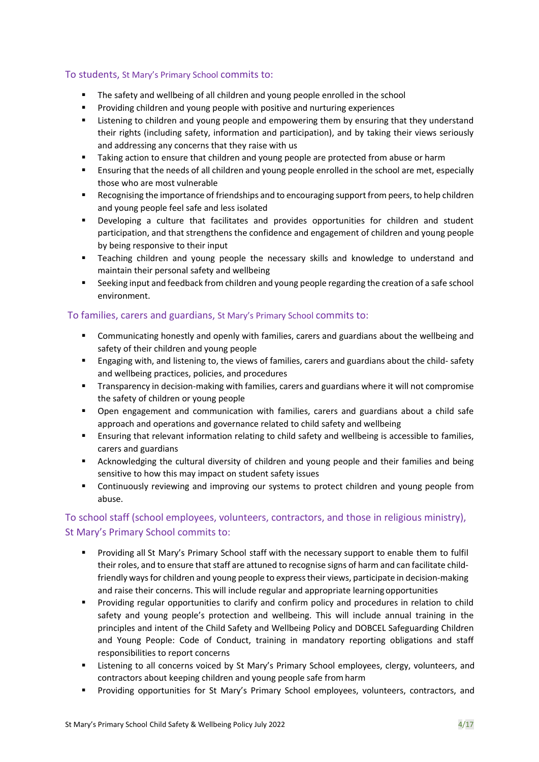#### To students, St Mary's Primary School commits to:

- The safety and wellbeing of all children and young people enrolled in the school
- Providing children and young people with positive and nurturing experiences
- Listening to children and young people and empowering them by ensuring that they understand their rights (including safety, information and participation), and by taking their views seriously and addressing any concerns that they raise with us
- Taking action to ensure that children and young people are protected from abuse or harm
- Ensuring that the needs of all children and young people enrolled in the school are met, especially those who are most vulnerable
- Recognising the importance of friendships and to encouraging support from peers, to help children and young people feel safe and less isolated
- Developing a culture that facilitates and provides opportunities for children and student participation, and that strengthens the confidence and engagement of children and young people by being responsive to their input
- Teaching children and young people the necessary skills and knowledge to understand and maintain their personal safety and wellbeing
- Seeking input and feedback from children and young people regarding the creation of a safe school environment.

#### To families, carers and guardians, St Mary's Primary School commits to:

- **•** Communicating honestly and openly with families, carers and guardians about the wellbeing and safety of their children and young people
- **Engaging with, and listening to, the views of families, carers and guardians about the child- safety** and wellbeing practices, policies, and procedures
- Transparency in decision-making with families, carers and guardians where it will not compromise the safety of children or young people
- Open engagement and communication with families, carers and guardians about a child safe approach and operations and governance related to child safety and wellbeing
- **E** Ensuring that relevant information relating to child safety and wellbeing is accessible to families, carers and guardians
- **E** Acknowledging the cultural diversity of children and young people and their families and being sensitive to how this may impact on student safety issues
- **•** Continuously reviewing and improving our systems to protect children and young people from abuse.

#### To school staff (school employees, volunteers, contractors, and those in religious ministry), St Mary's Primary School commits to:

- Providing all St Mary's Primary School staff with the necessary support to enable them to fulfil their roles, and to ensure that staff are attuned to recognise signs of harm and can facilitate childfriendly ways for children and young people to express their views, participate in decision-making and raise their concerns. This will include regular and appropriate learning opportunities
- Providing regular opportunities to clarify and confirm policy and procedures in relation to child safety and young people's protection and wellbeing. This will include annual training in the principles and intent of the Child Safety and Wellbeing Policy and DOBCEL Safeguarding Children and Young People: Code of Conduct, training in mandatory reporting obligations and staff responsibilities to report concerns
- **EXECT** Listening to all concerns voiced by St Mary's Primary School employees, clergy, volunteers, and contractors about keeping children and young people safe fromharm
- Providing opportunities for St Mary's Primary School employees, volunteers, contractors, and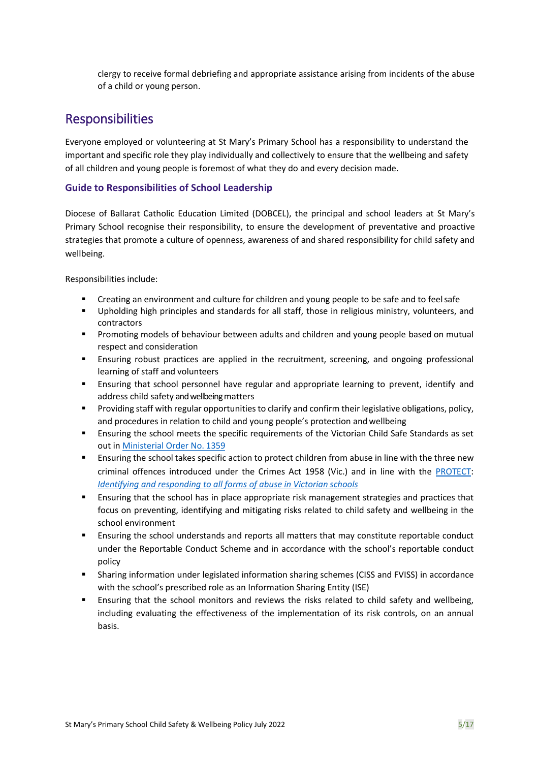clergy to receive formal debriefing and appropriate assistance arising from incidents of the abuse of a child or young person.

### **Responsibilities**

Everyone employed or volunteering at St Mary's Primary School has a responsibility to understand the important and specific role they play individually and collectively to ensure that the wellbeing and safety of all children and young people is foremost of what they do and every decision made.

#### **Guide to Responsibilities of School Leadership**

Diocese of Ballarat Catholic Education Limited (DOBCEL), the principal and school leaders at St Mary's Primary School recognise their responsibility, to ensure the development of preventative and proactive strategies that promote a culture of openness, awareness of and shared responsibility for child safety and wellbeing.

Responsibilities include:

- Creating an environment and culture for children and young people to be safe and to feel safe
- Upholding high principles and standards for all staff, those in religious ministry, volunteers, and contractors
- **■** Promoting models of behaviour between adults and children and young people based on mutual respect and consideration
- **E** Ensuring robust practices are applied in the recruitment, screening, and ongoing professional learning of staff and volunteers
- Ensuring that school personnel have regular and appropriate learning to prevent, identify and address child safety and wellbeing matters
- Providing staff with regular opportunities to clarify and confirm their legislative obligations, policy, and procedures in relation to child and young people's protection and wellbeing
- Ensuring the school meets the specific requirements of the Victorian Child Safe Standards as set out in [Ministerial Order No.](https://www.education.vic.gov.au/Documents/about/programs/health/protect/Ministerial_Order.pdf) 1359
- **E** Ensuring the school takes specific action to protect children from abuse in line with the three new criminal offences introduced under the Crimes Act 1958 (Vic.) and in line with the [PROTECT](http://www.gazette.vic.gov.au/gazette/Gazettes2016/GG2016S002.pdf)[:](http://www.gazette.vic.gov.au/gazette/Gazettes2016/GG2016S002.pdf) *[Identifying and responding to all forms of abuse in Victorian](https://www.cecv.catholic.edu.au/getmedia/ebe135a4-d1b3-48a0-81fe-50d4fc451bcd/Identifying-and-Responding-to-All-Forms-of-Abuse.aspx#page%3D10) schools*
- **E** Ensuring that the school has in place appropriate risk management strategies and practices that focus on preventing, identifying and mitigating risks related to child safety and wellbeing in the school environment
- Ensuring the school understands and reports all matters that may constitute reportable conduct under the Reportable Conduct Scheme and in accordance with the school's reportable conduct policy
- Sharing information under legislated information sharing schemes (CISS and FVISS) in accordance with the school's prescribed role as an Information Sharing Entity (ISE)
- Ensuring that the school monitors and reviews the risks related to child safety and wellbeing, including evaluating the effectiveness of the implementation of its risk controls, on an annual basis.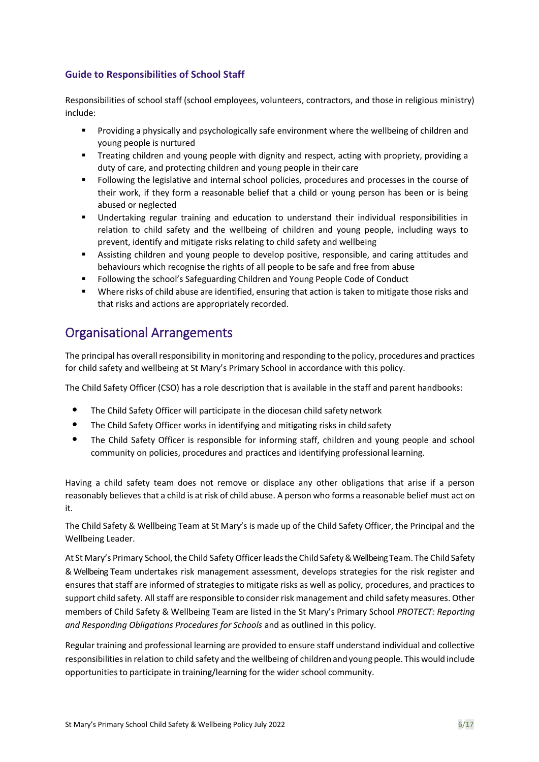#### **Guide to Responsibilities of School Staff**

Responsibilities of school staff (school employees, volunteers, contractors, and those in religious ministry) include:

- **•** Providing a physically and psychologically safe environment where the wellbeing of children and young people is nurtured
- **•** Treating children and young people with dignity and respect, acting with propriety, providing a duty of care, and protecting children and young people in their care
- Following the legislative and internal school policies, procedures and processes in the course of their work, if they form a reasonable belief that a child or young person has been or is being abused or neglected
- Undertaking regular training and education to understand their individual responsibilities in relation to child safety and the wellbeing of children and young people, including ways to prevent, identify and mitigate risks relating to child safety and wellbeing
- Assisting children and young people to develop positive, responsible, and caring attitudes and behaviours which recognise the rights of all people to be safe and free from abuse
- Following the school's Safeguarding Children and Young People Code of Conduct
- Where risks of child abuse are identified, ensuring that action is taken to mitigate those risks and that risks and actions are appropriately recorded.

#### Organisational Arrangements

The principal has overall responsibility in monitoring and responding to the policy, procedures and practices for child safety and wellbeing at St Mary's Primary School in accordance with this policy.

The Child Safety Officer (CSO) has a role description that is available in the staff and parent handbooks:

- The Child Safety Officer will participate in the diocesan child safety network
- The Child Safety Officer works in identifying and mitigating risks in child safety
- The Child Safety Officer is responsible for informing staff, children and young people and school community on policies, procedures and practices and identifying professional learning.

Having a child safety team does not remove or displace any other obligations that arise if a person reasonably believes that a child is at risk of child abuse. A person who forms a reasonable belief must act on it.

The Child Safety & Wellbeing Team at St Mary's is made up of the Child Safety Officer, the Principal and the Wellbeing Leader.

At St Mary's Primary School, the Child Safety Officer leads the Child Safety & Wellbeing Team. The Child Safety & Wellbeing Team undertakes risk management assessment, develops strategies for the risk register and ensures that staff are informed of strategies to mitigate risks as well as policy, procedures, and practices to support child safety. All staff are responsible to consider risk management and child safety measures. Other members of Child Safety & Wellbeing Team are listed in the St Mary's Primary School *PROTECT: Reporting and Responding Obligations Procedures for Schools* and as outlined in this policy.

Regular training and professional learning are provided to ensure staff understand individual and collective responsibilities in relation to child safety and the wellbeing of children and young people. Thiswould include opportunities to participate in training/learning for the wider school community.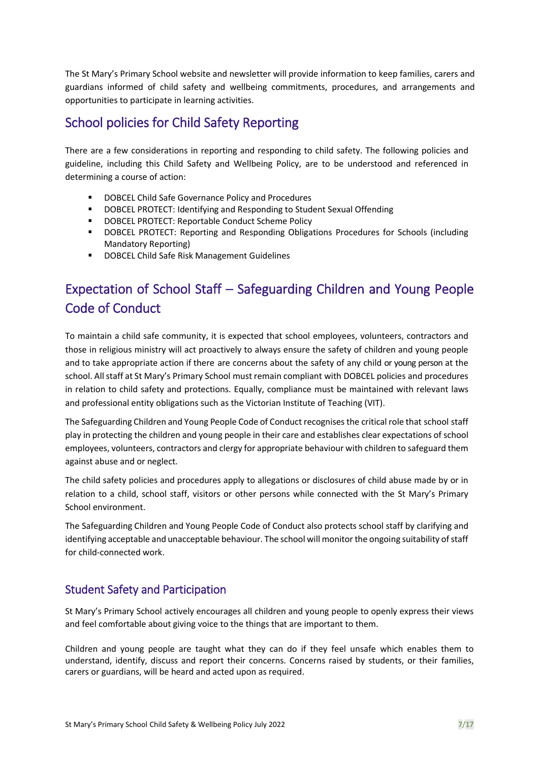The St Mary's Primary School website and newsletter will provide information to keep families, carers and guardians informed of child safety and wellbeing commitments, procedures, and arrangements and opportunities to participate in learning activities.

## School policies for Child Safety Reporting

There are a few considerations in reporting and responding to child safety. The following policies and guideline, including this Child Safety and Wellbeing Policy, are to be understood and referenced in determining a course of action:

- DOBCEL Child Safe Governance Policy and Procedures
- DOBCEL PROTECT: Identifying and Responding to Student Sexual Offending
- DOBCEL PROTECT: Reportable Conduct Scheme Policy
- DOBCEL PROTECT: Reporting and Responding Obligations Procedures for Schools (including Mandatory Reporting)
- DOBCEL Child Safe Risk Management Guidelines

## Expectation of School Staff – Safeguarding Children and Young People Code of Conduct

To maintain a child safe community, it is expected that school employees, volunteers, contractors and those in religious ministry will act proactively to always ensure the safety of children and young people and to take appropriate action if there are concerns about the safety of any child or young person at the school. All staff at St Mary's Primary School must remain compliant with DOBCEL policies and procedures in relation to child safety and protections. Equally, compliance must be maintained with relevant laws and professional entity obligations such as the Victorian Institute of Teaching (VIT).

The Safeguarding Children and Young People Code of Conduct recognisesthe critical role that school staff play in protecting the children and young people in their care and establishes clear expectations of school employees, volunteers, contractors and clergy for appropriate behaviour with children to safeguard them against abuse and or neglect.

The child safety policies and procedures apply to allegations or disclosures of child abuse made by or in relation to a child, school staff, visitors or other persons while connected with the St Mary's Primary School environment.

The Safeguarding Children and Young People Code of Conduct also protects school staff by clarifying and identifying acceptable and unacceptable behaviour. The school will monitor the ongoing suitability of staff for child-connected work.

#### Student Safety and Participation

St Mary's Primary School actively encourages all children and young people to openly express their views and feel comfortable about giving voice to the things that are important to them.

Children and young people are taught what they can do if they feel unsafe which enables them to understand, identify, discuss and report their concerns. Concerns raised by students, or their families, carers or guardians, will be heard and acted upon as required.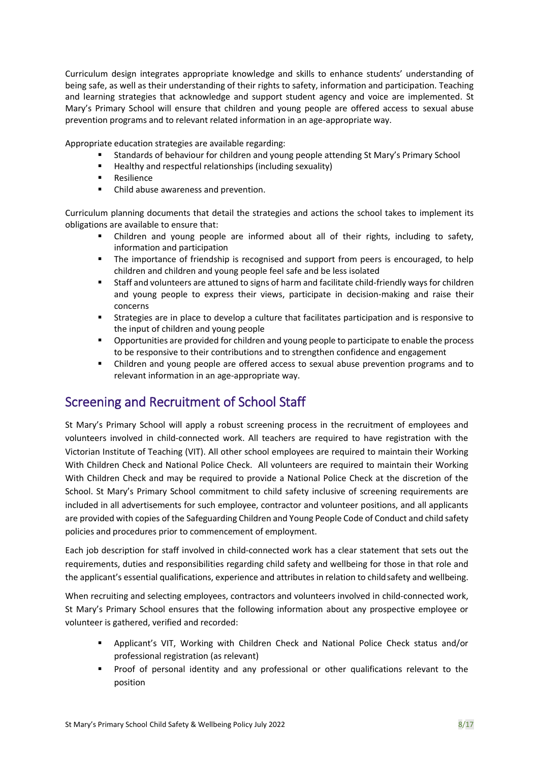Curriculum design integrates appropriate knowledge and skills to enhance students' understanding of being safe, as well as their understanding of their rights to safety, information and participation. Teaching and learning strategies that acknowledge and support student agency and voice are implemented. St Mary's Primary School will ensure that children and young people are offered access to sexual abuse prevention programs and to relevant related information in an age-appropriate way.

Appropriate education strategies are available regarding:

- Standards of behaviour for children and young people attending St Mary's Primary School
- Healthy and respectful relationships (including sexuality)
- **Resilience**
- Child abuse awareness and prevention.

Curriculum planning documents that detail the strategies and actions the school takes to implement its obligations are available to ensure that:

- Children and young people are informed about all of their rights, including to safety, information and participation
- The importance of friendship is recognised and support from peers is encouraged, to help children and children and young people feel safe and be less isolated
- Staff and volunteers are attuned to signs of harm and facilitate child-friendly ways for children and young people to express their views, participate in decision-making and raise their concerns
- Strategies are in place to develop a culture that facilitates participation and is responsive to the input of children and young people
- Opportunities are provided for children and young people to participate to enable the process to be responsive to their contributions and to strengthen confidence and engagement
- Children and young people are offered access to sexual abuse prevention programs and to relevant information in an age-appropriate way.

## Screening and Recruitment of School Staff

St Mary's Primary School will apply a robust screening process in the recruitment of employees and volunteers involved in child-connected work. All teachers are required to have registration with the Victorian Institute of Teaching (VIT). All other school employees are required to maintain their Working With Children Check and National Police Check. All volunteers are required to maintain their Working With Children Check and may be required to provide a National Police Check at the discretion of the School. St Mary's Primary School commitment to child safety inclusive of screening requirements are included in all advertisements for such employee, contractor and volunteer positions, and all applicants are provided with copies of the Safeguarding Children and Young People Code of Conduct and child safety policies and procedures prior to commencement of employment.

Each job description for staff involved in child-connected work has a clear statement that sets out the requirements, duties and responsibilities regarding child safety and wellbeing for those in that role and the applicant's essential qualifications, experience and attributes in relation to child safety and wellbeing.

When recruiting and selecting employees, contractors and volunteers involved in child-connected work, St Mary's Primary School ensures that the following information about any prospective employee or volunteer is gathered, verified and recorded:

- Applicant's VIT, Working with Children Check and National Police Check status and/or professional registration (as relevant)
- Proof of personal identity and any professional or other qualifications relevant to the position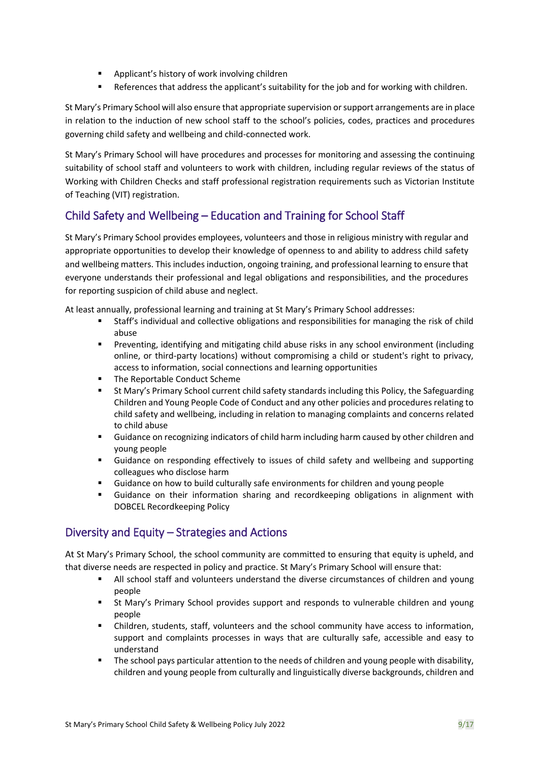- Applicant's history of work involving children
- References that address the applicant's suitability for the job and for working with children.

St Mary's Primary School will also ensure that appropriate supervision or support arrangements are in place in relation to the induction of new school staff to the school's policies, codes, practices and procedures governing child safety and wellbeing and child-connected work.

St Mary's Primary School will have procedures and processes for monitoring and assessing the continuing suitability of school staff and volunteers to work with children, including regular reviews of the status of Working with Children Checks and staff professional registration requirements such as Victorian Institute of Teaching (VIT) registration.

#### Child Safety and Wellbeing – Education and Training for School Staff

St Mary's Primary School provides employees, volunteers and those in religious ministry with regular and appropriate opportunities to develop their knowledge of openness to and ability to address child safety and wellbeing matters. This includes induction, ongoing training, and professional learning to ensure that everyone understands their professional and legal obligations and responsibilities, and the procedures for reporting suspicion of child abuse and neglect.

At least annually, professional learning and training at St Mary's Primary School addresses:

- Staff's individual and collective obligations and responsibilities for managing the risk of child abuse
- **•** Preventing, identifying and mitigating child abuse risks in any school environment (including online, or third-party locations) without compromising a child or student's right to privacy, access to information, social connections and learning opportunities
- The Reportable Conduct Scheme
- St Mary's Primary School current child safety standards including this Policy, the Safeguarding Children and Young People Code of Conduct and any other policies and procedures relating to child safety and wellbeing, including in relation to managing complaints and concerns related to child abuse
- Guidance on recognizing indicators of child harm including harm caused by other children and young people
- Guidance on responding effectively to issues of child safety and wellbeing and supporting colleagues who disclose harm
- Guidance on how to build culturally safe environments for children and young people
- Guidance on their information sharing and recordkeeping obligations in alignment with DOBCEL Recordkeeping Policy

#### Diversity and Equity – Strategies and Actions

At St Mary's Primary School, the school community are committed to ensuring that equity is upheld, and that diverse needs are respected in policy and practice. St Mary's Primary School will ensure that:

- All school staff and volunteers understand the diverse circumstances of children and young people
- **EXECT St Mary's Primary School provides support and responds to vulnerable children and young** people
- Children, students, staff, volunteers and the school community have access to information, support and complaints processes in ways that are culturally safe, accessible and easy to understand
- The school pays particular attention to the needs of children and young people with disability. children and young people from culturally and linguistically diverse backgrounds, children and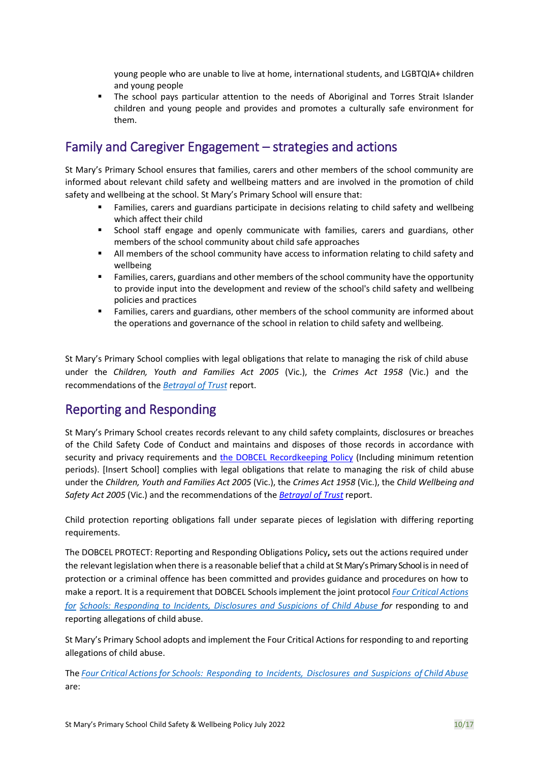young people who are unable to live at home, international students, and LGBTQIA+ children and young people

The school pays particular attention to the needs of Aboriginal and Torres Strait Islander children and young people and provides and promotes a culturally safe environment for them.

### Family and Caregiver Engagement – strategies and actions

St Mary's Primary School ensures that families, carers and other members of the school community are informed about relevant child safety and wellbeing matters and are involved in the promotion of child safety and wellbeing at the school. St Mary's Primary School will ensure that:

- Families, carers and guardians participate in decisions relating to child safety and wellbeing which affect their child
- School staff engage and openly communicate with families, carers and guardians, other members of the school community about child safe approaches
- All members of the school community have access to information relating to child safety and wellbeing
- Families, carers, guardians and other members of the school community have the opportunity to provide input into the development and review of the school's child safety and wellbeing policies and practices
- Families, carers and guardians, other members of the school community are informed about the operations and governance of the school in relation to child safety and wellbeing.

St Mary's Primary School complies with legal obligations that relate to managing the risk of child abuse under the *Children, Youth and Families Act 2005* (Vic.), the *Crimes Act 1958* (Vic.) and the recommendations of the *[Betrayal of Trust](https://www.parliament.vic.gov.au/fcdc/article/1788)* report.

### Reporting and Responding

St Mary's Primary School creates records relevant to any child safety complaints, disclosures or breaches of the Child Safety Code of Conduct and maintains and disposes of those records in accordance with security and privacy requirements and the DOBCEL Recordkeeping Policy (Including minimum retention periods). [Insert School] complies with legal obligations that relate to managing the risk of child abuse under the *Children, Youth and Families Act 2005* (Vic.), the *Crimes Act 1958* (Vic.), the *Child Wellbeing and Safety Act 2005* (Vic.) and the recommendations of the *[Betrayal of Trust](http://www.parliament.vic.gov.au/fcdc/article/1788)* report.

Child protection reporting obligations fall under separate pieces of legislation with differing reporting requirements.

The DOBCEL PROTECT: Reporting and Responding Obligations Policy**,** sets out the actions required under the relevant legislation when there is a reasonable belief that a child at St Mary's Primary School is in need of protection or a criminal offence has been committed and provides guidance and procedures on how to make a report. It is a requirement that DOBCEL Schools implement the joint protocol *Four Critical [Actions](http://www.cecv.catholic.edu.au/getmedia/ebe135a4-d1b3-48a0-81fe-50d4fc451bcd/Identifying-and-Responding-to-All-Forms-of-Abuse.aspx) [for](http://www.cecv.catholic.edu.au/getmedia/ebe135a4-d1b3-48a0-81fe-50d4fc451bcd/Identifying-and-Responding-to-All-Forms-of-Abuse.aspx) [Schools: Responding to Incidents, Disclosures and Suspicions of Child Abuse f](https://www.education.vic.gov.au/Documents/about/programs/health/protect/FourCriticalActions_ChildAbuse.pdf#page%3D12)or* responding to and reporting allegations of child abuse.

St Mary's Primary School adopts and implement the Four Critical Actions for responding to and reporting allegations of child abuse.

The *[Four Critical Actions for Schools: Responding to Incidents, Disclosures and Suspicions of Child Abuse](https://www.education.vic.gov.au/Documents/about/programs/health/protect/FourCriticalActions_ChildAbuse.pdf#page%3D12)*  are: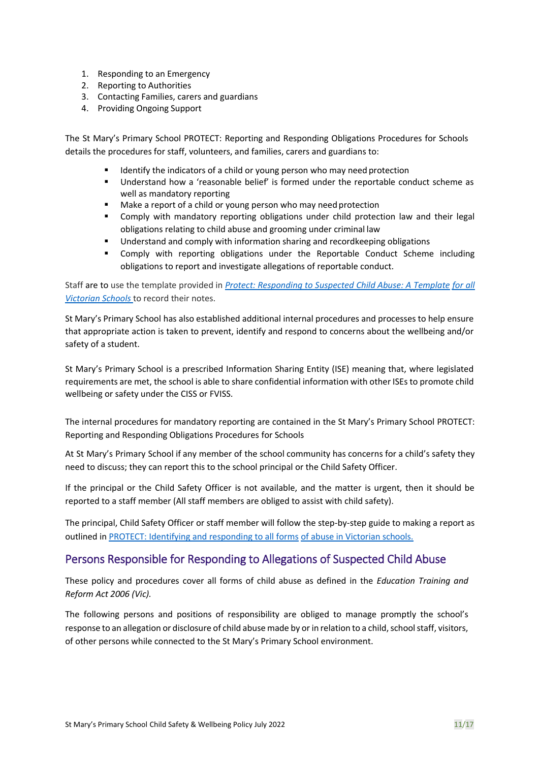- 1. Responding to an Emergency
- 2. Reporting to Authorities
- 3. Contacting Families, carers and guardians
- 4. Providing Ongoing Support

The St Mary's Primary School PROTECT: Reporting and Responding Obligations Procedures for Schools details the procedures for staff, volunteers, and families, carers and guardians to:

- Identify the indicators of a child or young person who may need protection
- Understand how a 'reasonable belief' is formed under the reportable conduct scheme as well as mandatory reporting
- Make a report of a child or young person who may need protection
- **•** Comply with mandatory reporting obligations under child protection law and their legal obligations relating to child abuse and grooming under criminal law
- Understand and comply with information sharing and recordkeeping obligations
- Comply with reporting obligations under the Reportable Conduct Scheme including obligations to report and investigate allegations of reportable conduct.

Staff are to use the template provided in *[Protect: Responding to Suspected Child Abuse: A Template](https://www.education.vic.gov.au/Documents/about/programs/health/protect/PROTECT_Schoolstemplate.pdf) [for all](http://www.cecv.catholic.edu.au/getmedia/ebe135a4-d1b3-48a0-81fe-50d4fc451bcd/Identifying-and-Responding-to-All-Forms-of-Abuse.aspx)  [Victorian Schools](http://www.cecv.catholic.edu.au/getmedia/ebe135a4-d1b3-48a0-81fe-50d4fc451bcd/Identifying-and-Responding-to-All-Forms-of-Abuse.aspx)* to record their notes.

St Mary's Primary School has also established additional internal procedures and processes to help ensure that appropriate action is taken to prevent, identify and respond to concerns about the wellbeing and/or safety of a student.

St Mary's Primary School is a prescribed Information Sharing Entity (ISE) meaning that, where legislated requirements are met, the school is able to share confidential information with other ISEs to promote child wellbeing or safety under the CISS or FVISS.

The internal procedures for mandatory reporting are contained in the St Mary's Primary School PROTECT: Reporting and Responding Obligations Procedures for Schools

At St Mary's Primary School if any member of the school community has concerns for a child's safety they need to discuss; they can report this to the school principal or the Child Safety Officer.

If the principal or the Child Safety Officer is not available, and the matter is urgent, then it should be reported to a staff member (All staff members are obliged to assist with child safety).

The principal, Child Safety Officer or staff member will follow the step-by-step guide to making a report as outlined i[n PROTECT: Identifying and responding to all forms](https://www.cecv.catholic.edu.au/getmedia/ebe135a4-d1b3-48a0-81fe-50d4fc451bcd/Identifying-and-Responding-to-All-Forms-of-Abuse.aspx#page%3D10) [of abuse in Victorian schools.](http://www.cecv.catholic.edu.au/getmedia/ebe135a4-d1b3-48a0-81fe-50d4fc451bcd/Identifying-and-Responding-to-All-Forms-of-Abuse.aspx#page%3D7)

#### Persons Responsible for Responding to Allegations of Suspected Child Abuse

These policy and procedures cover all forms of child abuse as defined in the *Education Training and Reform Act 2006 (Vic).*

The following persons and positions of responsibility are obliged to manage promptly the school's response to an allegation or disclosure of child abuse made by or in relation to a child, school staff, visitors, of other persons while connected to the St Mary's Primary School environment.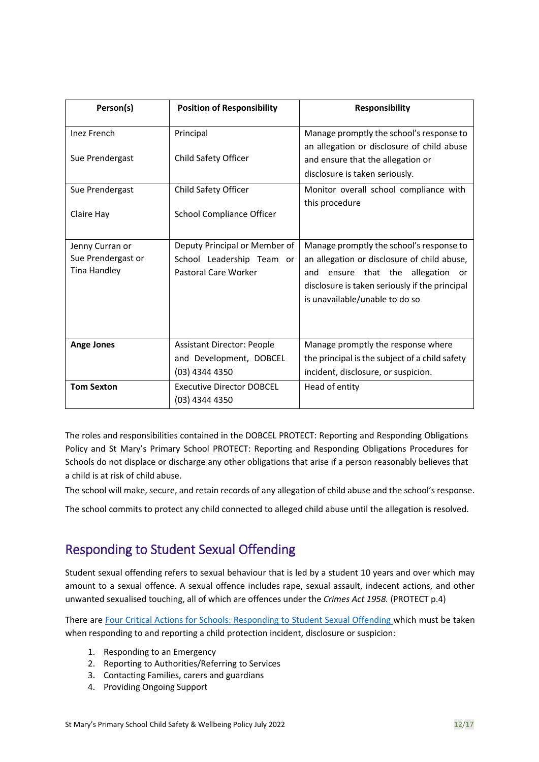| Person(s)                                                    | <b>Position of Responsibility</b>                                                  | <b>Responsibility</b>                                                                                                                                                                                                  |
|--------------------------------------------------------------|------------------------------------------------------------------------------------|------------------------------------------------------------------------------------------------------------------------------------------------------------------------------------------------------------------------|
| <b>Inez French</b><br>Sue Prendergast                        | Principal<br>Child Safety Officer                                                  | Manage promptly the school's response to<br>an allegation or disclosure of child abuse<br>and ensure that the allegation or<br>disclosure is taken seriously.                                                          |
| Sue Prendergast<br>Claire Hay                                | Child Safety Officer<br>School Compliance Officer                                  | Monitor overall school compliance with<br>this procedure                                                                                                                                                               |
| Jenny Curran or<br>Sue Prendergast or<br><b>Tina Handley</b> | Deputy Principal or Member of<br>School Leadership Team or<br>Pastoral Care Worker | Manage promptly the school's response to<br>an allegation or disclosure of child abuse,<br>ensure that the allegation<br>and<br>or<br>disclosure is taken seriously if the principal<br>is unavailable/unable to do so |
| <b>Ange Jones</b>                                            | <b>Assistant Director: People</b><br>and Development, DOBCEL<br>(03) 4344 4350     | Manage promptly the response where<br>the principal is the subject of a child safety<br>incident, disclosure, or suspicion.                                                                                            |
| <b>Tom Sexton</b>                                            | <b>Executive Director DOBCEL</b><br>(03) 4344 4350                                 | Head of entity                                                                                                                                                                                                         |

The roles and responsibilities contained in the DOBCEL PROTECT: Reporting and Responding Obligations Policy and St Mary's Primary School PROTECT: Reporting and Responding Obligations Procedures for Schools do not displace or discharge any other obligations that arise if a person reasonably believes that a child is at risk of child abuse.

The school will make, secure, and retain records of any allegation of child abuse and the school's response.

The school commits to protect any child connected to alleged child abuse until the allegation is resolved.

## Responding to Student Sexual Offending

Student sexual offending refers to sexual behaviour that is led by a student 10 years and over which may amount to a sexual offence. A sexual offence includes rape, sexual assault, indecent actions, and other unwanted sexualised touching, all of which are offences under the *Crimes Act 1958.* (PROTECT p.4)

There are [Four Critical Actions for Schools: Responding to Student Sexual Offending w](https://www.education.vic.gov.au/Documents/about/programs/health/protect/FourCriticalActions_SSO.pdf)hich must be taken when responding to and reporting a child protection incident, disclosure or suspicion:

- 1. Responding to an Emergency
- 2. Reporting to Authorities/Referring to Services
- 3. Contacting Families, carers and guardians
- 4. Providing Ongoing Support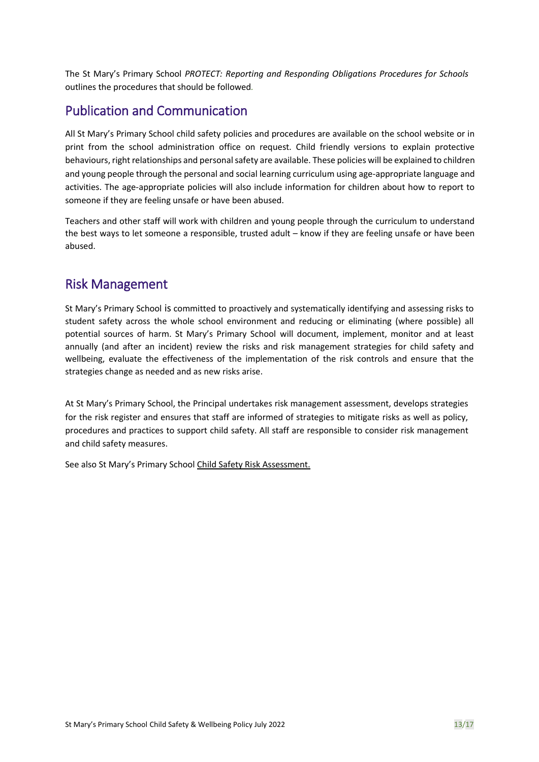The St Mary's Primary School *PROTECT: Reporting and Responding Obligations Procedures for Schools* outlines the procedures that should be followed*.*

### Publication and Communication

All St Mary's Primary School child safety policies and procedures are available on the school website or in print from the school administration office on request. Child friendly versions to explain protective behaviours, right relationships and personal safety are available. These policies will be explained to children and young people through the personal and social learning curriculum using age-appropriate language and activities. The age-appropriate policies will also include information for children about how to report to someone if they are feeling unsafe or have been abused.

Teachers and other staff will work with children and young people through the curriculum to understand the best ways to let someone a responsible, trusted adult – know if they are feeling unsafe or have been abused.

### Risk Management

St Mary's Primary School is committed to proactively and systematically identifying and assessing risks to student safety across the whole school environment and reducing or eliminating (where possible) all potential sources of harm. St Mary's Primary School will document, implement, monitor and at least annually (and after an incident) review the risks and risk management strategies for child safety and wellbeing, evaluate the effectiveness of the implementation of the risk controls and ensure that the strategies change as needed and as new risks arise.

At St Mary's Primary School, the Principal undertakes risk management assessment, develops strategies for the risk register and ensures that staff are informed of strategies to mitigate risks as well as policy, procedures and practices to support child safety. All staff are responsible to consider risk management and child safety measures.

See also St Mary's Primary School Child Safety Risk Assessment.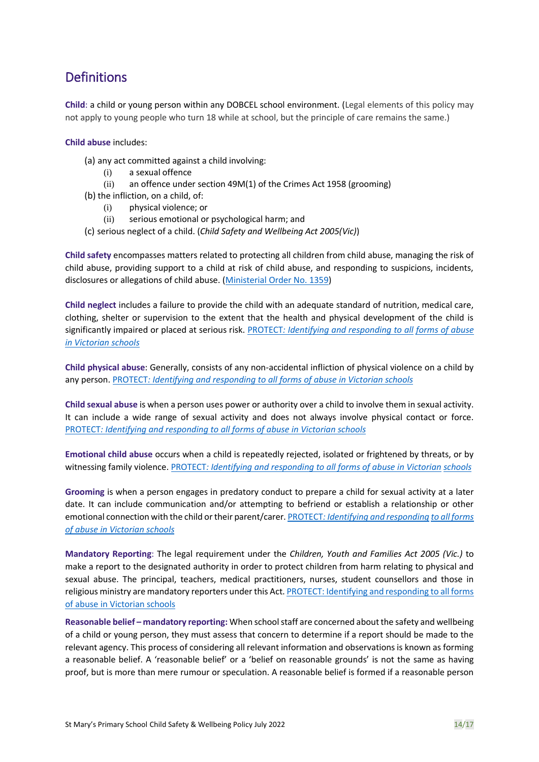## **Definitions**

**Child**: a child or young person within any DOBCEL school environment. (Legal elements of this policy may not apply to young people who turn 18 while at school, but the principle of care remains the same.)

#### **Child abuse** includes:

- (a) any act committed against a child involving:
	- (i) a sexual offence
	- (ii) an offence under section 49M(1) of the Crimes Act 1958 (grooming)
- (b) the infliction, on a child, of:
	- (i) physical violence; or
	- (ii) serious emotional or psychological harm; and
- (c) serious neglect of a child. (*Child Safety and Wellbeing Act 2005(Vic)*)

**Child safety** encompasses matters related to protecting all children from child abuse, managing the risk of child abuse, providing support to a child at risk of child abuse, and responding to suspicions, incidents, disclosures or allegations of child abuse. [\(Ministerial Order No. 1359\)](https://www.education.vic.gov.au/Documents/about/programs/health/protect/Ministerial_Order.pdf)

**Child neglect** includes a failure to provide the child with an adequate standard of nutrition, medical care, clothing, shelter or supervision to the extent that the health and physical development of the child is significantly impaired or placed at serious risk. [PROTECT](http://www.cecv.catholic.edu.au/getmedia/ebe135a4-d1b3-48a0-81fe-50d4fc451bcd/Identifying-and-Responding-to-All-Forms-of-Abuse.aspx#page%3D18)*[: Identifying and responding to all](https://www.cecv.catholic.edu.au/getmedia/ebe135a4-d1b3-48a0-81fe-50d4fc451bcd/Identifying-and-Responding-to-All-Forms-of-Abuse.aspx#page%3D10) [forms of abuse](http://cevn.cecv.catholic.edu.au/WorkArea/DownloadAsset.aspx#page%3D18)  [in Victorian schools](http://cevn.cecv.catholic.edu.au/WorkArea/DownloadAsset.aspx#page%3D18)*

**Child physical abuse**: Generally, consists of any non-accidental infliction of physical violence on a child by any person. [PROTECT](http://cevn.cecv.catholic.edu.au/WorkArea/DownloadAsset.aspx#page%3D10)*[: Identifying and responding to all forms of abuse in Victorian schools](https://www.cecv.catholic.edu.au/getmedia/ebe135a4-d1b3-48a0-81fe-50d4fc451bcd/Identifying-and-Responding-to-All-Forms-of-Abuse.aspx#page%3D10)*

**Child sexual abuse** is when a person uses power or authority over a child to involve them in sexual activity. It can include a wide range of sexual activity and does not always involve physical contact or force. [PROTECT](http://www.cecv.catholic.edu.au/vcsa/Agreement_2013/VCEMEA_2013.pdf#page%3D12)*[: Identifying and responding to all forms of abuse in Victorian schools](https://www.cecv.catholic.edu.au/getmedia/ebe135a4-d1b3-48a0-81fe-50d4fc451bcd/Identifying-and-Responding-to-All-Forms-of-Abuse.aspx#page%3D10)*

**Emotional child abuse** occurs when a child is repeatedly rejected, isolated or frightened by threats, or by witnessing family violence[. PROTECT](http://www.cecv.catholic.edu.au/getmedia/ebe135a4-d1b3-48a0-81fe-50d4fc451bcd/Identifying-and-Responding-to-All-Forms-of-Abuse.aspx#page%3D17)*[: Identifying and responding to all forms of abuse in Victorian](http://www.gazette.vic.gov.au/gazette/Gazettes2016/GG2016S002.pdf#page%3D17) [schools](http://www.vatican.va/roman_curia/congregations/ccatheduc/documents/rc_con_ccatheduc_doc_27041998_school2000_en.html#page%3D17)*

**Grooming** is when a person engages in predatory conduct to prepare a child for sexual activity at a later date. It can include communication and/or attempting to befriend or establish a relationship or other emotional connection with the child or their parent/carer. [PROTECT](http://www.cecv.catholic.edu.au/getmedia/ebe135a4-d1b3-48a0-81fe-50d4fc451bcd/Identifying-and-Responding-to-All-Forms-of-Abuse.aspx#page%3D15)*[: Identifying and responding](https://www.cecv.catholic.edu.au/getmedia/ebe135a4-d1b3-48a0-81fe-50d4fc451bcd/Identifying-and-Responding-to-All-Forms-of-Abuse.aspx#page%3D10) [to all forms](http://www.cecv.catholic.edu.au/getmedia/ebe135a4-d1b3-48a0-81fe-50d4fc451bcd/Identifying-and-Responding-to-All-Forms-of-Abuse.aspx#page%3D15)  [of abuse in Victorian schools](http://www.cecv.catholic.edu.au/getmedia/ebe135a4-d1b3-48a0-81fe-50d4fc451bcd/Identifying-and-Responding-to-All-Forms-of-Abuse.aspx#page%3D15)*

**Mandatory Reporting**: The legal requirement under the *Children, Youth and Families Act 2005 (Vic.)* to make a report to the designated authority in order to protect children from harm relating to physical and sexual abuse. The principal, teachers, medical practitioners, nurses, student counsellors and those in religious ministry are mandatory reporters under this Act[. PROTECT: Identifying and responding to all forms](https://www.cecv.catholic.edu.au/getmedia/ebe135a4-d1b3-48a0-81fe-50d4fc451bcd/Identifying-and-Responding-to-All-Forms-of-Abuse.aspx#page%3D10)  [of abuse in Victorian](https://www.cecv.catholic.edu.au/getmedia/ebe135a4-d1b3-48a0-81fe-50d4fc451bcd/Identifying-and-Responding-to-All-Forms-of-Abuse.aspx#page%3D10) schools

**Reasonable belief – mandatory reporting:** When school staff are concerned about the safety and wellbeing of a child or young person, they must assess that concern to determine if a report should be made to the relevant agency. This process of considering all relevant information and observations is known as forming a reasonable belief. A 'reasonable belief' or a 'belief on reasonable grounds' is not the same as having proof, but is more than mere rumour or speculation. A reasonable belief is formed if a reasonable person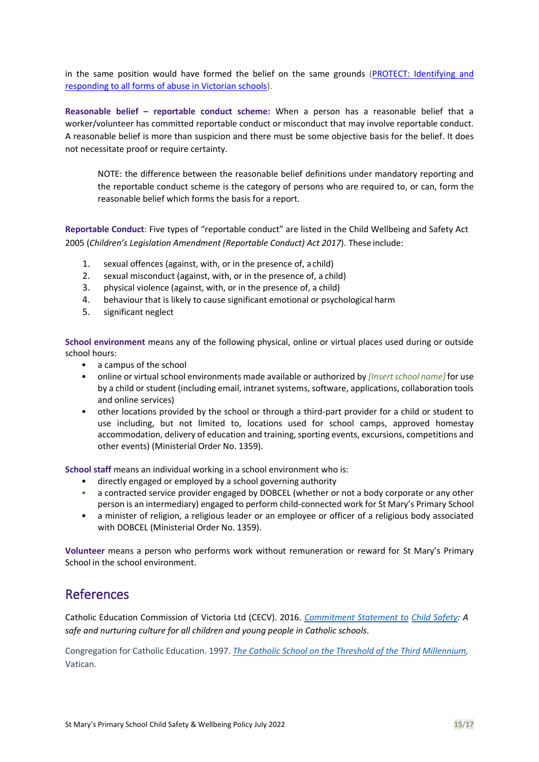in the same position would have formed the belief on the same grounds [\(PROTECT: Identifying and](http://www.cecv.catholic.edu.au/getmedia/ebe135a4-d1b3-48a0-81fe-50d4fc451bcd/Identifying-and-Responding-to-All-Forms-of-Abuse.aspx#page%3D35)  [responding to all forms of abuse in Victorian schools\)](http://www.cecv.catholic.edu.au/getmedia/ebe135a4-d1b3-48a0-81fe-50d4fc451bcd/Identifying-and-Responding-to-All-Forms-of-Abuse.aspx#page%3D35).

**Reasonable belief – reportable conduct scheme:** When a person has a reasonable belief that a worker/volunteer has committed reportable conduct or misconduct that may involve reportable conduct. A reasonable belief is more than suspicion and there must be some objective basis for the belief. It does not necessitate proof or require certainty.

NOTE: the difference between the reasonable belief definitions under mandatory reporting and the reportable conduct scheme is the category of persons who are required to, or can, form the reasonable belief which forms the basis for a report.

**Reportable Conduct**: Five types of "reportable conduct" are listed in the Child Wellbeing and Safety Act 2005 (*Children's Legislation Amendment (Reportable Conduct) Act 2017*). These include:

- 1. sexual offences (against, with, or in the presence of, a child)
- 2. sexual misconduct (against, with, or in the presence of, a child)
- 3. physical violence (against, with, or in the presence of, a child)
- 4. behaviour that is likely to cause significant emotional or psychological harm
- 5. significant neglect

**School environment** means any of the following physical, online or virtual places used during or outside school hours:

- a campus of the school
- online or virtual school environments made available or authorized by *[Insert school name]* for use by a child or student (including email, intranet systems, software, applications, collaboration tools and online services)
- other locations provided by the school or through a third-part provider for a child or student to use including, but not limited to, locations used for school camps, approved homestay accommodation, delivery of education and training, sporting events, excursions, competitions and other events) (Ministerial Order No. 1359).

**School staff** means an individual working in a school environment who is:

- directly engaged or employed by a school governing authority
- a contracted service provider engaged by DOBCEL (whether or not a body corporate or any other person is an intermediary) engaged to perform child-connected work for St Mary's Primary School
- a minister of religion, a religious leader or an employee or officer of a religious body associated with DOBCEL (Ministerial Order No. 1359).

**Volunteer** means a person who performs work without remuneration or reward for St Mary's Primary School in the school environment.

#### References

Catholic Education Commission of Victoria Ltd (CECV). 2016. *[Commitment Statement to](https://cevn.cecv.catholic.edu.au/Melb/Document-File/Child-Safety/About/Commitment-Statement-A4.aspx) [Child Safety:](http://www.cecv.catholic.edu.au/getmedia/ebe135a4-d1b3-48a0-81fe-50d4fc451bcd/Identifying-and-Responding-to-All-Forms-of-Abuse.aspx?id=8589940208) A safe and nurturing culture for all children and young people in Catholic schools*.

Congregation for Catholic Education. 1997. *[The Catholic School on the Threshold of the Third](http://www.vatican.va/roman_curia/congregations/ccatheduc/documents/rc_con_ccatheduc_doc_27041998_school2000_en.html) [Millennium,](http://www.education.vic.gov.au/Documents/about/programs/health/protect/FourCriticalActions_ChildAbuse.pdf)*  Vatican.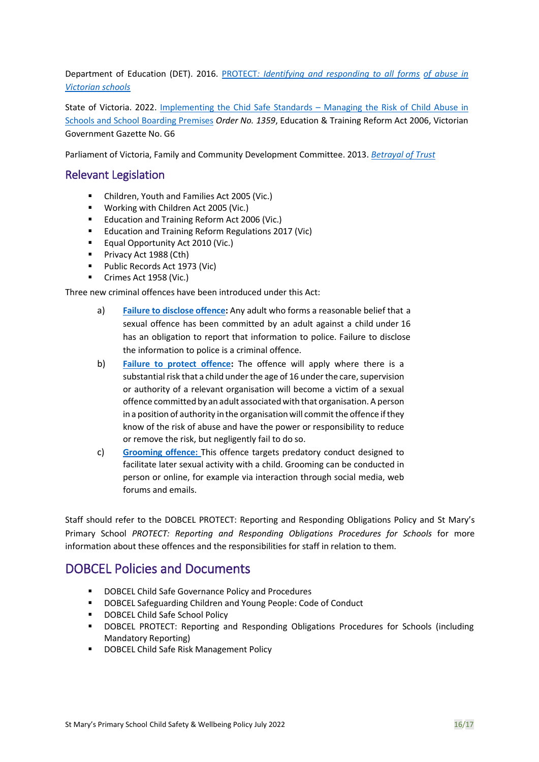Department of Education (DET). 20[16.](https://www.vit.vic.edu.au/news/news/2018/protecting-children-mandatory-reporting-elearning-modules) [PROTECT](http://www.gazette.vic.gov.au/gazette/Gazettes2016/GG2016S002.pdf)*[: Identifying and responding to all forms](https://www.cecv.catholic.edu.au/getmedia/ebe135a4-d1b3-48a0-81fe-50d4fc451bcd/Identifying-and-Responding-to-All-Forms-of-Abuse.aspx#page%3D10) [of abuse in](http://www.cecv.catholic.edu.au/getmedia/ebe135a4-d1b3-48a0-81fe-50d4fc451bcd/Identifying-and-Responding-to-All-Forms-of-Abuse.aspx)  [Victorian](http://www.cecv.catholic.edu.au/getmedia/ebe135a4-d1b3-48a0-81fe-50d4fc451bcd/Identifying-and-Responding-to-All-Forms-of-Abuse.aspx) [schools](http://www.gazette.vic.gov.au/gazette/Gazettes2016/GG2016S002.pdf)*

State of Victoria. 2022. [Implementing the Chid Safe Standards](https://www.education.vic.gov.au/Documents/about/programs/health/protect/Ministerial_Order.pdf) – Managing the Risk of Child Abuse in [Schools and School Boarding Premises](https://www.education.vic.gov.au/Documents/about/programs/health/protect/Ministerial_Order.pdf) *Order No. 1359*, Education & Training Reform Act 2006, Victorian Government Gazette No. G6

Parliament of Victoria, Family and Community Development Committee. 2013. *[Betrayal of Trust](http://www.cecv.catholic.edu.au/getmedia/ebe135a4-d1b3-48a0-81fe-50d4fc451bcd/Identifying-and-Responding-to-All-Forms-of-Abuse.aspx)*

#### Relevant Legislation

- Children, Youth and Families Act 2005 (Vic.)
- Working with Children Act 2005 (Vic.)
- Education and Training Reform Act 2006 (Vic.)
- Education and Training Reform Regulations 2017 (Vic)
- Equal Opportunity Act 2010 (Vic.)
- Privacy Act 1988 (Cth)
- Public Records Act 1973 (Vic)
- Crimes Act 1958 (Vic.)

Three new criminal offences have been introduced under this Act:

- a) **[Failure to disclose offence:](https://www.education.vic.gov.au/school/teachers/health/childprotection/Pages/reportobligations.aspx)** Any adult who forms a reasonable belief that a sexual offence has been committed by an adult against a child under 16 has an obligation to report that information to police. Failure to disclose the information to police is a criminal offence.
- b) **[Failure to protect offence:](https://www.education.vic.gov.au/school/teachers/health/childprotection/Pages/reportobligations.aspx)** The offence will apply where there is a substantial risk that a child under the age of 16 under the care, supervision or authority of a relevant organisation will become a victim of a sexual offence committed by an adult associated with that organisation. A person in a position of authority in the organisation will commit the offence if they know of the risk of abuse and have the power or responsibility to reduce or remove the risk, but negligently fail to do so.
- c) **[Grooming offence:](https://www.education.vic.gov.au/school/teachers/health/childprotection/Pages/reportobligations.aspx)** This offence targets predatory conduct designed to facilitate later sexual activity with a child. Grooming can be conducted in person or online, for example via interaction through social media, web forums and emails.

Staff should refer to the DOBCEL PROTECT: Reporting and Responding Obligations Policy and St Mary's Primary School *PROTECT: Reporting and Responding Obligations Procedures for Schools* for more information about these offences and the responsibilities for staff in relation to them.

### DOBCEL Policies and Documents

- DOBCEL Child Safe Governance Policy and Procedures
- DOBCEL Safeguarding Children and Young People: Code of Conduct
- DOBCEL Child Safe School Policy
- DOBCEL PROTECT: Reporting and Responding Obligations Procedures for Schools (including Mandatory Reporting)
- DOBCEL Child Safe Risk Management Policy